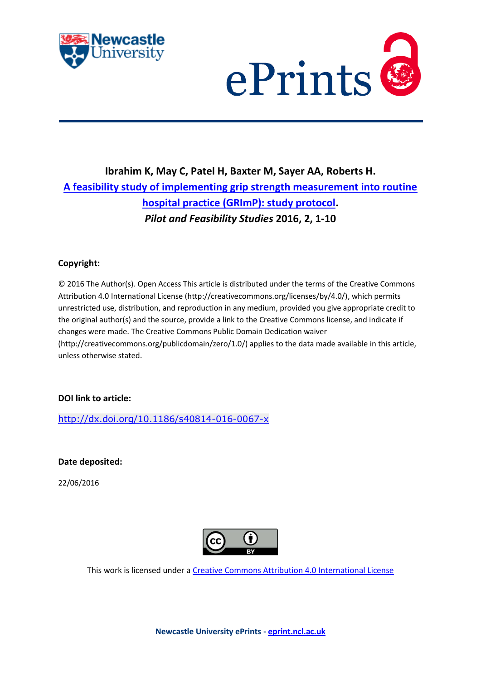



## **Ibrahim K, May C, Patel H, Baxter M, Sayer AA, Roberts H. [A feasibility study of implementing grip strength measurement into routine](javascript:ViewPublication(225911);)  [hospital practice \(GRImP\): study protocol.](javascript:ViewPublication(225911);)** *Pilot and Feasibility Studies* **2016, 2, 1-10**

## **Copyright:**

© 2016 The Author(s). Open Access This article is distributed under the terms of the Creative Commons Attribution 4.0 International License (http://creativecommons.org/licenses/by/4.0/), which permits unrestricted use, distribution, and reproduction in any medium, provided you give appropriate credit to the original author(s) and the source, provide a link to the Creative Commons license, and indicate if changes were made. The Creative Commons Public Domain Dedication waiver (http://creativecommons.org/publicdomain/zero/1.0/) applies to the data made available in this article, unless otherwise stated.

## **DOI link to article:**

<http://dx.doi.org/10.1186/s40814-016-0067-x>

**Date deposited:** 

22/06/2016



This work is licensed under [a Creative Commons Attribution 4.0 International License](http://creativecommons.org/licenses/by/4.0/)

**Newcastle University ePrints - [eprint.ncl.ac.uk](http://eprint.ncl.ac.uk/)**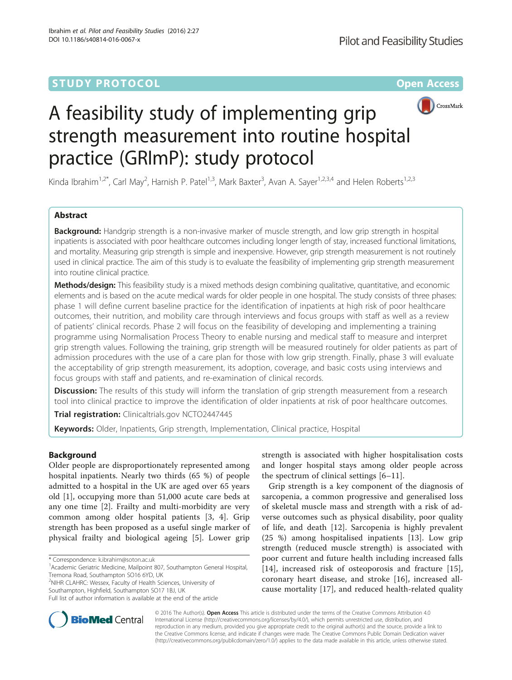

# A feasibility study of implementing grip strength measurement into routine hospital practice (GRImP): study protocol

Kinda Ibrahim<sup>1,2\*</sup>, Carl May<sup>2</sup>, Harnish P. Patel<sup>1,3</sup>, Mark Baxter<sup>3</sup>, Avan A. Sayer<sup>1,2,3,4</sup> and Helen Roberts<sup>1,2,3</sup>

## Abstract

**Background:** Handgrip strength is a non-invasive marker of muscle strength, and low grip strength in hospital inpatients is associated with poor healthcare outcomes including longer length of stay, increased functional limitations, and mortality. Measuring grip strength is simple and inexpensive. However, grip strength measurement is not routinely used in clinical practice. The aim of this study is to evaluate the feasibility of implementing grip strength measurement into routine clinical practice.

Methods/design: This feasibility study is a mixed methods design combining qualitative, quantitative, and economic elements and is based on the acute medical wards for older people in one hospital. The study consists of three phases: phase 1 will define current baseline practice for the identification of inpatients at high risk of poor healthcare outcomes, their nutrition, and mobility care through interviews and focus groups with staff as well as a review of patients' clinical records. Phase 2 will focus on the feasibility of developing and implementing a training programme using Normalisation Process Theory to enable nursing and medical staff to measure and interpret grip strength values. Following the training, grip strength will be measured routinely for older patients as part of admission procedures with the use of a care plan for those with low grip strength. Finally, phase 3 will evaluate the acceptability of grip strength measurement, its adoption, coverage, and basic costs using interviews and focus groups with staff and patients, and re-examination of clinical records.

**Discussion:** The results of this study will inform the translation of grip strength measurement from a research tool into clinical practice to improve the identification of older inpatients at risk of poor healthcare outcomes.

Trial registration: Clinicaltrials.gov [NCTO2447445](https://clinicaltrials.gov/ct2/show/NCT02447445)

Keywords: Older, Inpatients, Grip strength, Implementation, Clinical practice, Hospital

## Background

Older people are disproportionately represented among hospital inpatients. Nearly two thirds (65 %) of people admitted to a hospital in the UK are aged over 65 years old [[1\]](#page-9-0), occupying more than 51,000 acute care beds at any one time [[2\]](#page-9-0). Frailty and multi-morbidity are very common among older hospital patients [[3, 4](#page-9-0)]. Grip strength has been proposed as a useful single marker of physical frailty and biological ageing [[5\]](#page-9-0). Lower grip

<sup>2</sup>NIHR CLAHRC: Wessex, Faculty of Health Sciences, University of

strength is associated with higher hospitalisation costs and longer hospital stays among older people across the spectrum of clinical settings [\[6](#page-9-0)–[11](#page-9-0)].

Grip strength is a key component of the diagnosis of sarcopenia, a common progressive and generalised loss of skeletal muscle mass and strength with a risk of adverse outcomes such as physical disability, poor quality of life, and death [\[12](#page-9-0)]. Sarcopenia is highly prevalent (25 %) among hospitalised inpatients [[13\]](#page-9-0). Low grip strength (reduced muscle strength) is associated with poor current and future health including increased falls [[14\]](#page-9-0), increased risk of osteoporosis and fracture [\[15](#page-9-0)], coronary heart disease, and stroke [\[16](#page-9-0)], increased allcause mortality [\[17](#page-9-0)], and reduced health-related quality



© 2016 The Author(s). Open Access This article is distributed under the terms of the Creative Commons Attribution 4.0 International License [\(http://creativecommons.org/licenses/by/4.0/](http://creativecommons.org/licenses/by/4.0/)), which permits unrestricted use, distribution, and reproduction in any medium, provided you give appropriate credit to the original author(s) and the source, provide a link to the Creative Commons license, and indicate if changes were made. The Creative Commons Public Domain Dedication waiver [\(http://creativecommons.org/publicdomain/zero/1.0/](http://creativecommons.org/publicdomain/zero/1.0/)) applies to the data made available in this article, unless otherwise stated.

<sup>\*</sup> Correspondence: [k.ibrahim@soton.ac.uk](mailto:k.ibrahim@soton.ac.uk) <sup>1</sup>

<sup>&</sup>lt;sup>1</sup> Academic Geriatric Medicine, Mailpoint 807, Southampton General Hospital, Tremona Road, Southampton SO16 6YD, UK

Southampton, Highfield, Southampton SO17 1BJ, UK

Full list of author information is available at the end of the article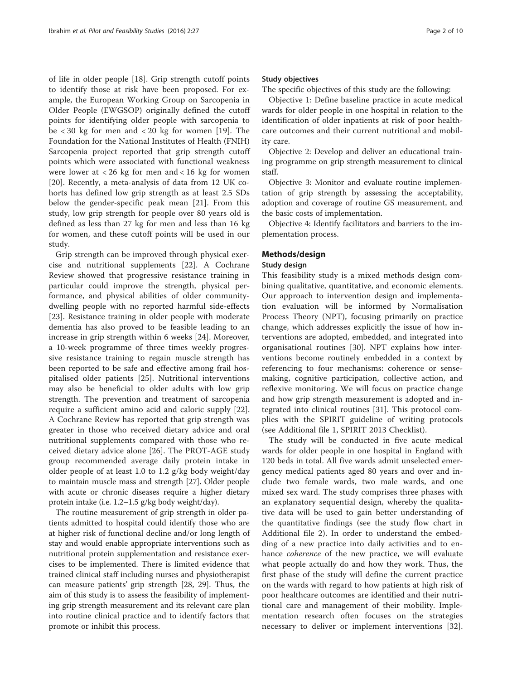of life in older people [[18\]](#page-9-0). Grip strength cutoff points to identify those at risk have been proposed. For example, the European Working Group on Sarcopenia in Older People (EWGSOP) originally defined the cutoff points for identifying older people with sarcopenia to be  $\lt 30$  kg for men and  $\lt 20$  kg for women [\[19](#page-9-0)]. The Foundation for the National Institutes of Health (FNIH) Sarcopenia project reported that grip strength cutoff points which were associated with functional weakness were lower at < 26 kg for men and < 16 kg for women [[20\]](#page-9-0). Recently, a meta-analysis of data from 12 UK cohorts has defined low grip strength as at least 2.5 SDs below the gender-specific peak mean [\[21](#page-10-0)]. From this study, low grip strength for people over 80 years old is defined as less than 27 kg for men and less than 16 kg for women, and these cutoff points will be used in our study.

Grip strength can be improved through physical exercise and nutritional supplements [[22\]](#page-10-0). A Cochrane Review showed that progressive resistance training in particular could improve the strength, physical performance, and physical abilities of older communitydwelling people with no reported harmful side-effects [[23\]](#page-10-0). Resistance training in older people with moderate dementia has also proved to be feasible leading to an increase in grip strength within 6 weeks [[24\]](#page-10-0). Moreover, a 10-week programme of three times weekly progressive resistance training to regain muscle strength has been reported to be safe and effective among frail hospitalised older patients [[25\]](#page-10-0). Nutritional interventions may also be beneficial to older adults with low grip strength. The prevention and treatment of sarcopenia require a sufficient amino acid and caloric supply [\[22](#page-10-0)]. A Cochrane Review has reported that grip strength was greater in those who received dietary advice and oral nutritional supplements compared with those who received dietary advice alone [[26\]](#page-10-0). The PROT-AGE study group recommended average daily protein intake in older people of at least 1.0 to 1.2 g/kg body weight/day to maintain muscle mass and strength [\[27](#page-10-0)]. Older people with acute or chronic diseases require a higher dietary protein intake (i.e. 1.2–1.5 g/kg body weight/day).

The routine measurement of grip strength in older patients admitted to hospital could identify those who are at higher risk of functional decline and/or long length of stay and would enable appropriate interventions such as nutritional protein supplementation and resistance exercises to be implemented. There is limited evidence that trained clinical staff including nurses and physiotherapist can measure patients' grip strength [[28, 29](#page-10-0)]. Thus, the aim of this study is to assess the feasibility of implementing grip strength measurement and its relevant care plan into routine clinical practice and to identify factors that promote or inhibit this process.

#### Study objectives

The specific objectives of this study are the following:

Objective 1: Define baseline practice in acute medical wards for older people in one hospital in relation to the identification of older inpatients at risk of poor healthcare outcomes and their current nutritional and mobility care.

Objective 2: Develop and deliver an educational training programme on grip strength measurement to clinical staff.

Objective 3: Monitor and evaluate routine implementation of grip strength by assessing the acceptability, adoption and coverage of routine GS measurement, and the basic costs of implementation.

Objective 4: Identify facilitators and barriers to the implementation process.

#### Methods/design

#### Study design

This feasibility study is a mixed methods design combining qualitative, quantitative, and economic elements. Our approach to intervention design and implementation evaluation will be informed by Normalisation Process Theory (NPT), focusing primarily on practice change, which addresses explicitly the issue of how interventions are adopted, embedded, and integrated into organisational routines [[30](#page-10-0)]. NPT explains how interventions become routinely embedded in a context by referencing to four mechanisms: coherence or sensemaking, cognitive participation, collective action, and reflexive monitoring. We will focus on practice change and how grip strength measurement is adopted and integrated into clinical routines [[31\]](#page-10-0). This protocol complies with the SPIRIT guideline of writing protocols (see Additional file [1](#page-9-0), SPIRIT 2013 Checklist).

The study will be conducted in five acute medical wards for older people in one hospital in England with 120 beds in total. All five wards admit unselected emergency medical patients aged 80 years and over and include two female wards, two male wards, and one mixed sex ward. The study comprises three phases with an explanatory sequential design, whereby the qualitative data will be used to gain better understanding of the quantitative findings (see the study flow chart in Additional file [2](#page-9-0)). In order to understand the embedding of a new practice into daily activities and to enhance coherence of the new practice, we will evaluate what people actually do and how they work. Thus, the first phase of the study will define the current practice on the wards with regard to how patients at high risk of poor healthcare outcomes are identified and their nutritional care and management of their mobility. Implementation research often focuses on the strategies necessary to deliver or implement interventions [\[32](#page-10-0)].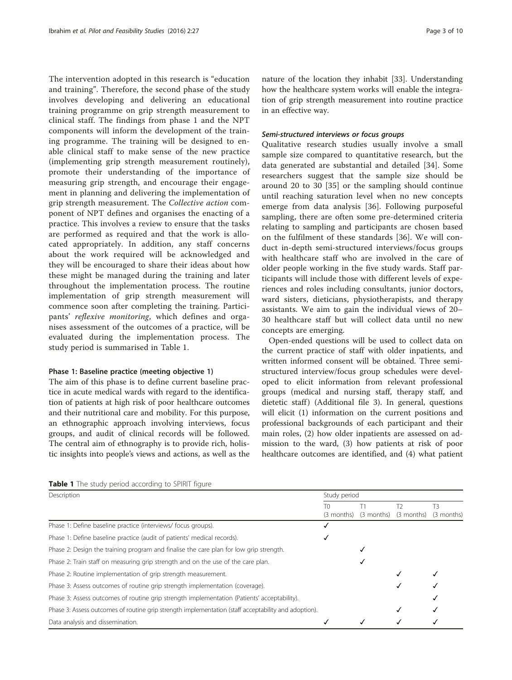The intervention adopted in this research is "education and training". Therefore, the second phase of the study involves developing and delivering an educational training programme on grip strength measurement to clinical staff. The findings from phase 1 and the NPT components will inform the development of the training programme. The training will be designed to enable clinical staff to make sense of the new practice (implementing grip strength measurement routinely), promote their understanding of the importance of measuring grip strength, and encourage their engagement in planning and delivering the implementation of grip strength measurement. The Collective action component of NPT defines and organises the enacting of a practice. This involves a review to ensure that the tasks are performed as required and that the work is allocated appropriately. In addition, any staff concerns about the work required will be acknowledged and they will be encouraged to share their ideas about how these might be managed during the training and later throughout the implementation process. The routine implementation of grip strength measurement will commence soon after completing the training. Participants' reflexive monitoring, which defines and organises assessment of the outcomes of a practice, will be evaluated during the implementation process. The study period is summarised in Table 1.

#### Phase 1: Baseline practice (meeting objective 1)

The aim of this phase is to define current baseline practice in acute medical wards with regard to the identification of patients at high risk of poor healthcare outcomes and their nutritional care and mobility. For this purpose, an ethnographic approach involving interviews, focus groups, and audit of clinical records will be followed. The central aim of ethnography is to provide rich, holistic insights into people's views and actions, as well as the

nature of the location they inhabit [[33\]](#page-10-0). Understanding how the healthcare system works will enable the integration of grip strength measurement into routine practice in an effective way.

#### Semi-structured interviews or focus groups

Qualitative research studies usually involve a small sample size compared to quantitative research, but the data generated are substantial and detailed [[34\]](#page-10-0). Some researchers suggest that the sample size should be around 20 to 30 [[35\]](#page-10-0) or the sampling should continue until reaching saturation level when no new concepts emerge from data analysis [[36](#page-10-0)]. Following purposeful sampling, there are often some pre-determined criteria relating to sampling and participants are chosen based on the fulfilment of these standards [[36\]](#page-10-0). We will conduct in-depth semi-structured interviews/focus groups with healthcare staff who are involved in the care of older people working in the five study wards. Staff participants will include those with different levels of experiences and roles including consultants, junior doctors, ward sisters, dieticians, physiotherapists, and therapy assistants. We aim to gain the individual views of 20– 30 healthcare staff but will collect data until no new concepts are emerging.

Open-ended questions will be used to collect data on the current practice of staff with older inpatients, and written informed consent will be obtained. Three semistructured interview/focus group schedules were developed to elicit information from relevant professional groups (medical and nursing staff, therapy staff, and dietetic staff) (Additional file [3](#page-9-0)). In general, questions will elicit (1) information on the current positions and professional backgrounds of each participant and their main roles, (2) how older inpatients are assessed on admission to the ward, (3) how patients at risk of poor healthcare outcomes are identified, and (4) what patient

|  |  |  |  |  | Table 1 The study period according to SPIRIT figure |  |  |  |
|--|--|--|--|--|-----------------------------------------------------|--|--|--|
|--|--|--|--|--|-----------------------------------------------------|--|--|--|

| Description                                                                                          |                  | Study period |            |                   |  |  |
|------------------------------------------------------------------------------------------------------|------------------|--------------|------------|-------------------|--|--|
|                                                                                                      | T0<br>(3 months) | (3 months)   | (3 months) | T3.<br>(3 months) |  |  |
| Phase 1: Define baseline practice (interviews/focus groups).                                         |                  |              |            |                   |  |  |
| Phase 1: Define baseline practice (audit of patients' medical records).                              |                  |              |            |                   |  |  |
| Phase 2: Design the training program and finalise the care plan for low grip strength.               |                  |              |            |                   |  |  |
| Phase 2: Train staff on measuring grip strength and on the use of the care plan.                     |                  |              |            |                   |  |  |
| Phase 2: Routine implementation of grip strength measurement.                                        |                  |              |            |                   |  |  |
| Phase 3: Assess outcomes of routine grip strength implementation (coverage).                         |                  |              |            |                   |  |  |
| Phase 3: Assess outcomes of routine grip strength implementation (Patients' acceptability).          |                  |              |            |                   |  |  |
| Phase 3: Assess outcomes of routine grip strength implementation (staff acceptability and adoption). |                  |              |            |                   |  |  |
| Data analysis and dissemination.                                                                     |                  |              |            |                   |  |  |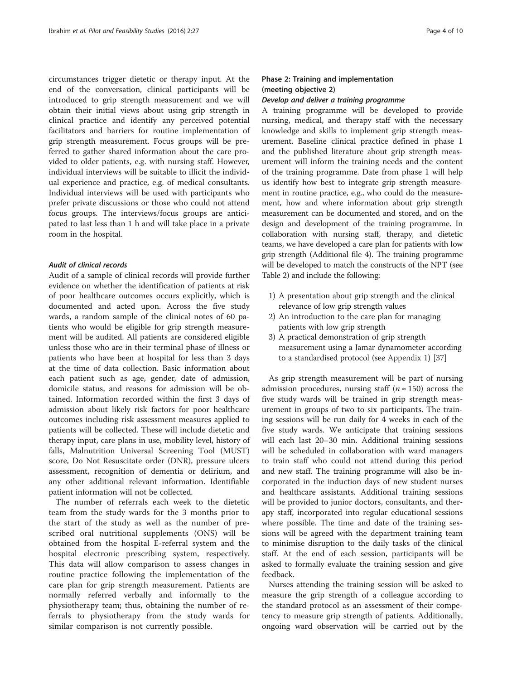circumstances trigger dietetic or therapy input. At the end of the conversation, clinical participants will be introduced to grip strength measurement and we will obtain their initial views about using grip strength in clinical practice and identify any perceived potential facilitators and barriers for routine implementation of grip strength measurement. Focus groups will be preferred to gather shared information about the care provided to older patients, e.g. with nursing staff. However, individual interviews will be suitable to illicit the individual experience and practice, e.g. of medical consultants. Individual interviews will be used with participants who prefer private discussions or those who could not attend focus groups. The interviews/focus groups are anticipated to last less than 1 h and will take place in a private room in the hospital.

#### Audit of clinical records

Audit of a sample of clinical records will provide further evidence on whether the identification of patients at risk of poor healthcare outcomes occurs explicitly, which is documented and acted upon. Across the five study wards, a random sample of the clinical notes of 60 patients who would be eligible for grip strength measurement will be audited. All patients are considered eligible unless those who are in their terminal phase of illness or patients who have been at hospital for less than 3 days at the time of data collection. Basic information about each patient such as age, gender, date of admission, domicile status, and reasons for admission will be obtained. Information recorded within the first 3 days of admission about likely risk factors for poor healthcare outcomes including risk assessment measures applied to patients will be collected. These will include dietetic and therapy input, care plans in use, mobility level, history of falls, Malnutrition Universal Screening Tool (MUST) score, Do Not Resuscitate order (DNR), pressure ulcers assessment, recognition of dementia or delirium, and any other additional relevant information. Identifiable patient information will not be collected.

The number of referrals each week to the dietetic team from the study wards for the 3 months prior to the start of the study as well as the number of prescribed oral nutritional supplements (ONS) will be obtained from the hospital E-referral system and the hospital electronic prescribing system, respectively. This data will allow comparison to assess changes in routine practice following the implementation of the care plan for grip strength measurement. Patients are normally referred verbally and informally to the physiotherapy team; thus, obtaining the number of referrals to physiotherapy from the study wards for similar comparison is not currently possible.

## Phase 2: Training and implementation (meeting objective 2)

#### Develop and deliver a training programme

A training programme will be developed to provide nursing, medical, and therapy staff with the necessary knowledge and skills to implement grip strength measurement. Baseline clinical practice defined in phase 1 and the published literature about grip strength measurement will inform the training needs and the content of the training programme. Date from phase 1 will help us identify how best to integrate grip strength measurement in routine practice, e.g., who could do the measurement, how and where information about grip strength measurement can be documented and stored, and on the design and development of the training programme. In collaboration with nursing staff, therapy, and dietetic teams, we have developed a care plan for patients with low grip strength (Additional file [4](#page-9-0)). The training programme will be developed to match the constructs of the NPT (see Table [2\)](#page-5-0) and include the following:

- 1) A presentation about grip strength and the clinical relevance of low grip strength values
- 2) An introduction to the care plan for managing patients with low grip strength
- 3) A practical demonstration of grip strength measurement using a Jamar dynamometer according to a standardised protocol (see [Appendix 1\)](#page-8-0) [\[37\]](#page-10-0)

As grip strength measurement will be part of nursing admission procedures, nursing staff ( $n \approx 150$ ) across the five study wards will be trained in grip strength measurement in groups of two to six participants. The training sessions will be run daily for 4 weeks in each of the five study wards. We anticipate that training sessions will each last 20–30 min. Additional training sessions will be scheduled in collaboration with ward managers to train staff who could not attend during this period and new staff. The training programme will also be incorporated in the induction days of new student nurses and healthcare assistants. Additional training sessions will be provided to junior doctors, consultants, and therapy staff, incorporated into regular educational sessions where possible. The time and date of the training sessions will be agreed with the department training team to minimise disruption to the daily tasks of the clinical staff. At the end of each session, participants will be asked to formally evaluate the training session and give feedback.

Nurses attending the training session will be asked to measure the grip strength of a colleague according to the standard protocol as an assessment of their competency to measure grip strength of patients. Additionally, ongoing ward observation will be carried out by the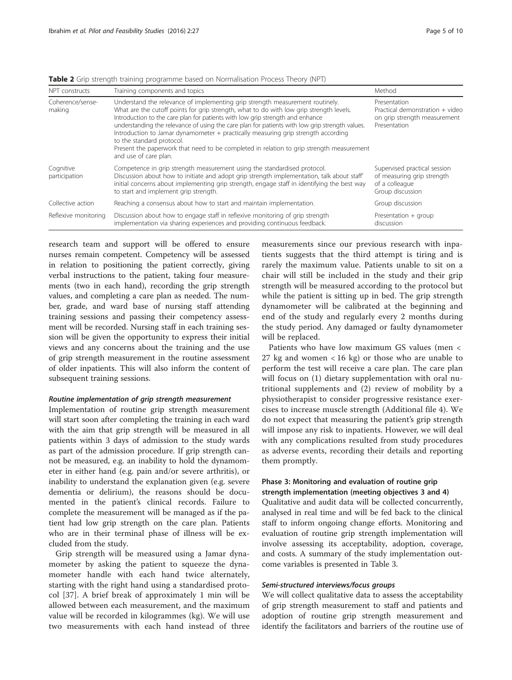| NPT constructs             | Training components and topics                                                                                                                                                                                                                                                                                                                                                                                                                                                                                                                                                                     | Method                                                                                           |
|----------------------------|----------------------------------------------------------------------------------------------------------------------------------------------------------------------------------------------------------------------------------------------------------------------------------------------------------------------------------------------------------------------------------------------------------------------------------------------------------------------------------------------------------------------------------------------------------------------------------------------------|--------------------------------------------------------------------------------------------------|
| Coherence/sense-<br>making | Understand the relevance of implementing grip strength measurement routinely.<br>What are the cutoff points for grip strength, what to do with low grip strength levels.<br>Introduction to the care plan for patients with low grip strength and enhance<br>understanding the relevance of using the care plan for patients with low grip strength values.<br>Introduction to Jamar dynamometer + practically measuring grip strength according<br>to the standard protocol.<br>Present the paperwork that need to be completed in relation to grip strength measurement<br>and use of care plan. | Presentation<br>Practical demonstration + video<br>on grip strength measurement<br>Presentation  |
| Cognitive<br>participation | Competence in grip strength measurement using the standardised protocol.<br>Discussion about how to initiate and adopt grip strength implementation, talk about staff<br>initial concerns about implementing grip strength, engage staff in identifying the best way<br>to start and implement grip strength.                                                                                                                                                                                                                                                                                      | Supervised practical session<br>of measuring grip strength<br>of a colleague<br>Group discussion |
| Collective action          | Reaching a consensus about how to start and maintain implementation.                                                                                                                                                                                                                                                                                                                                                                                                                                                                                                                               | Group discussion                                                                                 |
| Reflexive monitoring       | Discussion about how to engage staff in reflexive monitoring of grip strength<br>implementation via sharing experiences and providing continuous feedback.                                                                                                                                                                                                                                                                                                                                                                                                                                         | Presentation + group<br>discussion                                                               |

<span id="page-5-0"></span>Table 2 Grip strength training programme based on Normalisation Process Theory (NPT)

research team and support will be offered to ensure nurses remain competent. Competency will be assessed in relation to positioning the patient correctly, giving verbal instructions to the patient, taking four measurements (two in each hand), recording the grip strength values, and completing a care plan as needed. The number, grade, and ward base of nursing staff attending training sessions and passing their competency assessment will be recorded. Nursing staff in each training session will be given the opportunity to express their initial views and any concerns about the training and the use of grip strength measurement in the routine assessment of older inpatients. This will also inform the content of subsequent training sessions.

#### Routine implementation of grip strength measurement

Implementation of routine grip strength measurement will start soon after completing the training in each ward with the aim that grip strength will be measured in all patients within 3 days of admission to the study wards as part of the admission procedure. If grip strength cannot be measured, e.g. an inability to hold the dynamometer in either hand (e.g. pain and/or severe arthritis), or inability to understand the explanation given (e.g. severe dementia or delirium), the reasons should be documented in the patient's clinical records. Failure to complete the measurement will be managed as if the patient had low grip strength on the care plan. Patients who are in their terminal phase of illness will be excluded from the study.

Grip strength will be measured using a Jamar dynamometer by asking the patient to squeeze the dynamometer handle with each hand twice alternately, starting with the right hand using a standardised protocol [\[37](#page-10-0)]. A brief break of approximately 1 min will be allowed between each measurement, and the maximum value will be recorded in kilogrammes (kg). We will use two measurements with each hand instead of three

measurements since our previous research with inpatients suggests that the third attempt is tiring and is rarely the maximum value. Patients unable to sit on a chair will still be included in the study and their grip strength will be measured according to the protocol but while the patient is sitting up in bed. The grip strength dynamometer will be calibrated at the beginning and end of the study and regularly every 2 months during the study period. Any damaged or faulty dynamometer will be replaced.

Patients who have low maximum GS values (men < 27 kg and women  $\langle 16 \text{ kg} \rangle$  or those who are unable to perform the test will receive a care plan. The care plan will focus on (1) dietary supplementation with oral nutritional supplements and (2) review of mobility by a physiotherapist to consider progressive resistance exercises to increase muscle strength (Additional file [4\)](#page-9-0). We do not expect that measuring the patient's grip strength will impose any risk to inpatients. However, we will deal with any complications resulted from study procedures as adverse events, recording their details and reporting them promptly.

#### Phase 3: Monitoring and evaluation of routine grip strength implementation (meeting objectives 3 and 4)

Qualitative and audit data will be collected concurrently, analysed in real time and will be fed back to the clinical staff to inform ongoing change efforts. Monitoring and evaluation of routine grip strength implementation will involve assessing its acceptability, adoption, coverage, and costs. A summary of the study implementation outcome variables is presented in Table [3.](#page-6-0)

#### Semi-structured interviews/focus groups

We will collect qualitative data to assess the acceptability of grip strength measurement to staff and patients and adoption of routine grip strength measurement and identify the facilitators and barriers of the routine use of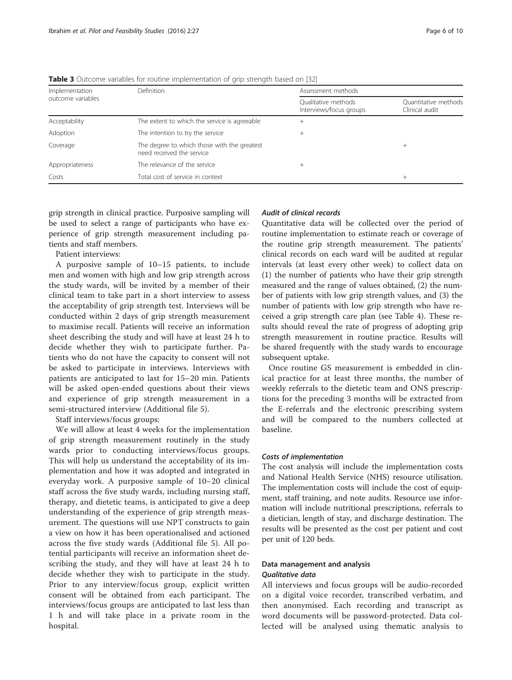| Implementation    | <b>Definition</b>                                                        | Assessment methods                             |                                        |  |
|-------------------|--------------------------------------------------------------------------|------------------------------------------------|----------------------------------------|--|
| outcome variables |                                                                          | Oualitative methods<br>Interviews/focus groups | Ouantitative methods<br>Clinical audit |  |
| Acceptability     | The extent to which the service is agreeable                             | $^{+}$                                         |                                        |  |
| Adoption          | The intention to try the service                                         |                                                |                                        |  |
| Coverage          | The degree to which those with the greatest<br>need received the service |                                                | $^+$                                   |  |
| Appropriateness   | The relevance of the service                                             |                                                |                                        |  |
| Costs             | Total cost of service in context                                         |                                                | $^+$                                   |  |

<span id="page-6-0"></span>Table 3 Outcome variables for routine implementation of grip strength based on [\[32](#page-10-0)]

grip strength in clinical practice. Purposive sampling will be used to select a range of participants who have experience of grip strength measurement including patients and staff members.

#### Patient interviews:

A purposive sample of 10–15 patients, to include men and women with high and low grip strength across the study wards, will be invited by a member of their clinical team to take part in a short interview to assess the acceptability of grip strength test. Interviews will be conducted within 2 days of grip strength measurement to maximise recall. Patients will receive an information sheet describing the study and will have at least 24 h to decide whether they wish to participate further. Patients who do not have the capacity to consent will not be asked to participate in interviews. Interviews with patients are anticipated to last for 15–20 min. Patients will be asked open-ended questions about their views and experience of grip strength measurement in a semi-structured interview (Additional file [5](#page-9-0)).

Staff interviews/focus groups:

We will allow at least 4 weeks for the implementation of grip strength measurement routinely in the study wards prior to conducting interviews/focus groups. This will help us understand the acceptability of its implementation and how it was adopted and integrated in everyday work. A purposive sample of 10–20 clinical staff across the five study wards, including nursing staff, therapy, and dietetic teams, is anticipated to give a deep understanding of the experience of grip strength measurement. The questions will use NPT constructs to gain a view on how it has been operationalised and actioned across the five study wards (Additional file [5](#page-9-0)). All potential participants will receive an information sheet describing the study, and they will have at least 24 h to decide whether they wish to participate in the study. Prior to any interview/focus group, explicit written consent will be obtained from each participant. The interviews/focus groups are anticipated to last less than 1 h and will take place in a private room in the hospital.

#### Audit of clinical records

Quantitative data will be collected over the period of routine implementation to estimate reach or coverage of the routine grip strength measurement. The patients' clinical records on each ward will be audited at regular intervals (at least every other week) to collect data on (1) the number of patients who have their grip strength measured and the range of values obtained, (2) the number of patients with low grip strength values, and (3) the number of patients with low grip strength who have received a grip strength care plan (see Table [4](#page-7-0)). These results should reveal the rate of progress of adopting grip strength measurement in routine practice. Results will be shared frequently with the study wards to encourage subsequent uptake.

Once routine GS measurement is embedded in clinical practice for at least three months, the number of weekly referrals to the dietetic team and ONS prescriptions for the preceding 3 months will be extracted from the E-referrals and the electronic prescribing system and will be compared to the numbers collected at baseline.

#### Costs of implementation

The cost analysis will include the implementation costs and National Health Service (NHS) resource utilisation. The implementation costs will include the cost of equipment, staff training, and note audits. Resource use information will include nutritional prescriptions, referrals to a dietician, length of stay, and discharge destination. The results will be presented as the cost per patient and cost per unit of 120 beds.

#### Data management and analysis Qualitative data

All interviews and focus groups will be audio-recorded on a digital voice recorder, transcribed verbatim, and then anonymised. Each recording and transcript as word documents will be password-protected. Data collected will be analysed using thematic analysis to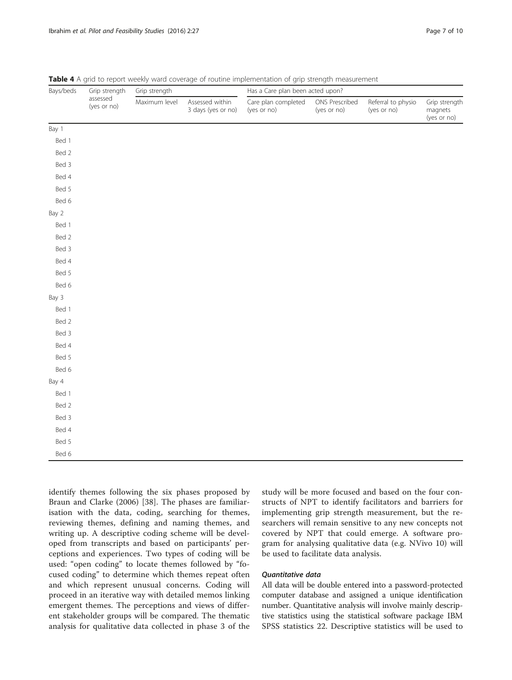Bay 1 Bed 1 **Bed Bed Bed Bed Bed** Bay 2 **Bed Bed** Bed **Bed Bed Bed** Bay 3 **Bed Bed** Bed **Bed Bed Bed** Bay 4 Bed 1 Bed 2 Bed 3 Bed 4 Bed 5 Bed 6

<span id="page-7-0"></span>

| Table 4 A grid to report weekly ward coverage of routine implementation of grip strength measurement |                                          |               |                                       |                                    |                               |                                   |                                         |  |
|------------------------------------------------------------------------------------------------------|------------------------------------------|---------------|---------------------------------------|------------------------------------|-------------------------------|-----------------------------------|-----------------------------------------|--|
| Bays/beds                                                                                            | Grip strength<br>assessed<br>(yes or no) | Grip strength |                                       | Has a Care plan been acted upon?   |                               |                                   |                                         |  |
|                                                                                                      |                                          | Maximum level | Assessed within<br>3 days (yes or no) | Care plan completed<br>(yes or no) | ONS Prescribed<br>(yes or no) | Referral to physio<br>(yes or no) | Grip strength<br>magnets<br>(yes or no) |  |
| Bay 1                                                                                                |                                          |               |                                       |                                    |                               |                                   |                                         |  |
| Bed 1                                                                                                |                                          |               |                                       |                                    |                               |                                   |                                         |  |
| Bed 2                                                                                                |                                          |               |                                       |                                    |                               |                                   |                                         |  |
| Bed 3                                                                                                |                                          |               |                                       |                                    |                               |                                   |                                         |  |
| Bed 4                                                                                                |                                          |               |                                       |                                    |                               |                                   |                                         |  |
| Bed 5                                                                                                |                                          |               |                                       |                                    |                               |                                   |                                         |  |
| Bed 6                                                                                                |                                          |               |                                       |                                    |                               |                                   |                                         |  |
| Bay 2                                                                                                |                                          |               |                                       |                                    |                               |                                   |                                         |  |
| Bed 1                                                                                                |                                          |               |                                       |                                    |                               |                                   |                                         |  |
| Bed 2                                                                                                |                                          |               |                                       |                                    |                               |                                   |                                         |  |
| Bed 3                                                                                                |                                          |               |                                       |                                    |                               |                                   |                                         |  |
| Bed 4                                                                                                |                                          |               |                                       |                                    |                               |                                   |                                         |  |
| Bed 5                                                                                                |                                          |               |                                       |                                    |                               |                                   |                                         |  |
| Bed 6                                                                                                |                                          |               |                                       |                                    |                               |                                   |                                         |  |
| Bay 3                                                                                                |                                          |               |                                       |                                    |                               |                                   |                                         |  |
| Bed 1                                                                                                |                                          |               |                                       |                                    |                               |                                   |                                         |  |
| Bed 2                                                                                                |                                          |               |                                       |                                    |                               |                                   |                                         |  |
| Bed 3                                                                                                |                                          |               |                                       |                                    |                               |                                   |                                         |  |
| Bed 4                                                                                                |                                          |               |                                       |                                    |                               |                                   |                                         |  |
| Bed 5                                                                                                |                                          |               |                                       |                                    |                               |                                   |                                         |  |
| Bed 6                                                                                                |                                          |               |                                       |                                    |                               |                                   |                                         |  |
| Bay 4                                                                                                |                                          |               |                                       |                                    |                               |                                   |                                         |  |
| Bed 1                                                                                                |                                          |               |                                       |                                    |                               |                                   |                                         |  |

Table 4 A grid to report weekly ward coverage of routine implementation of grip strength measurement

identify themes following the six phases proposed by Braun and Clarke (2006) [[38\]](#page-10-0). The phases are familiarisation with the data, coding, searching for themes, reviewing themes, defining and naming themes, and writing up. A descriptive coding scheme will be developed from transcripts and based on participants' perceptions and experiences. Two types of coding will be used: "open coding" to locate themes followed by "focused coding" to determine which themes repeat often and which represent unusual concerns. Coding will proceed in an iterative way with detailed memos linking emergent themes. The perceptions and views of different stakeholder groups will be compared. The thematic analysis for qualitative data collected in phase 3 of the study will be more focused and based on the four constructs of NPT to identify facilitators and barriers for implementing grip strength measurement, but the researchers will remain sensitive to any new concepts not covered by NPT that could emerge. A software program for analysing qualitative data (e.g. NVivo 10) will be used to facilitate data analysis.

#### Quantitative data

All data will be double entered into a password-protected computer database and assigned a unique identification number. Quantitative analysis will involve mainly descriptive statistics using the statistical software package IBM SPSS statistics 22. Descriptive statistics will be used to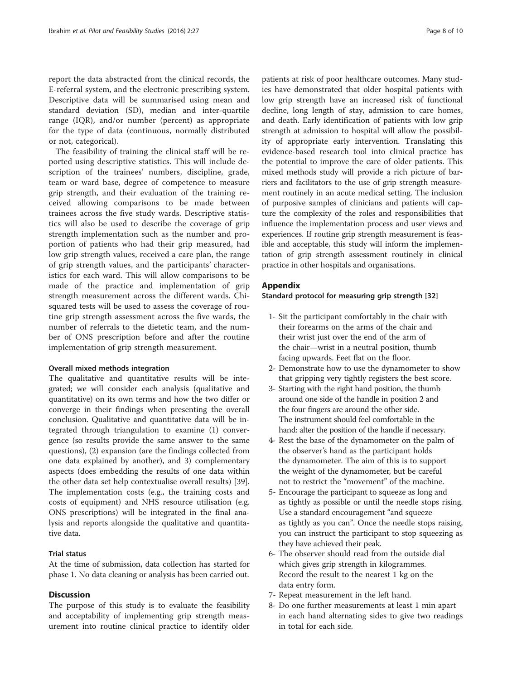<span id="page-8-0"></span>report the data abstracted from the clinical records, the E-referral system, and the electronic prescribing system. Descriptive data will be summarised using mean and standard deviation (SD), median and inter-quartile range (IQR), and/or number (percent) as appropriate for the type of data (continuous, normally distributed or not, categorical).

The feasibility of training the clinical staff will be reported using descriptive statistics. This will include description of the trainees' numbers, discipline, grade, team or ward base, degree of competence to measure grip strength, and their evaluation of the training received allowing comparisons to be made between trainees across the five study wards. Descriptive statistics will also be used to describe the coverage of grip strength implementation such as the number and proportion of patients who had their grip measured, had low grip strength values, received a care plan, the range of grip strength values, and the participants' characteristics for each ward. This will allow comparisons to be made of the practice and implementation of grip strength measurement across the different wards. Chisquared tests will be used to assess the coverage of routine grip strength assessment across the five wards, the number of referrals to the dietetic team, and the number of ONS prescription before and after the routine implementation of grip strength measurement.

#### Overall mixed methods integration

The qualitative and quantitative results will be integrated; we will consider each analysis (qualitative and quantitative) on its own terms and how the two differ or converge in their findings when presenting the overall conclusion. Qualitative and quantitative data will be integrated through triangulation to examine (1) convergence (so results provide the same answer to the same questions), (2) expansion (are the findings collected from one data explained by another), and 3) complementary aspects (does embedding the results of one data within the other data set help contextualise overall results) [\[39](#page-10-0)]. The implementation costs (e.g., the training costs and costs of equipment) and NHS resource utilisation (e.g. ONS prescriptions) will be integrated in the final analysis and reports alongside the qualitative and quantitative data.

#### Trial status

At the time of submission, data collection has started for phase 1. No data cleaning or analysis has been carried out.

#### **Discussion**

The purpose of this study is to evaluate the feasibility and acceptability of implementing grip strength measurement into routine clinical practice to identify older patients at risk of poor healthcare outcomes. Many studies have demonstrated that older hospital patients with low grip strength have an increased risk of functional decline, long length of stay, admission to care homes, and death. Early identification of patients with low grip strength at admission to hospital will allow the possibility of appropriate early intervention. Translating this evidence-based research tool into clinical practice has the potential to improve the care of older patients. This mixed methods study will provide a rich picture of barriers and facilitators to the use of grip strength measurement routinely in an acute medical setting. The inclusion of purposive samples of clinicians and patients will capture the complexity of the roles and responsibilities that influence the implementation process and user views and experiences. If routine grip strength measurement is feasible and acceptable, this study will inform the implementation of grip strength assessment routinely in clinical practice in other hospitals and organisations.

#### Appendix

#### Standard protocol for measuring grip strength [\[32](#page-10-0)]

- 1- Sit the participant comfortably in the chair with their forearms on the arms of the chair and their wrist just over the end of the arm of the chair—wrist in a neutral position, thumb facing upwards. Feet flat on the floor.
- 2- Demonstrate how to use the dynamometer to show that gripping very tightly registers the best score.
- 3- Starting with the right hand position, the thumb around one side of the handle in position 2 and the four fingers are around the other side. The instrument should feel comfortable in the hand: alter the position of the handle if necessary.
- 4- Rest the base of the dynamometer on the palm of the observer's hand as the participant holds the dynamometer. The aim of this is to support the weight of the dynamometer, but be careful not to restrict the "movement" of the machine.
- 5- Encourage the participant to squeeze as long and as tightly as possible or until the needle stops rising. Use a standard encouragement "and squeeze as tightly as you can". Once the needle stops raising, you can instruct the participant to stop squeezing as they have achieved their peak.
- 6- The observer should read from the outside dial which gives grip strength in kilogrammes. Record the result to the nearest 1 kg on the data entry form.
- 7- Repeat measurement in the left hand.
- 8- Do one further measurements at least 1 min apart in each hand alternating sides to give two readings in total for each side.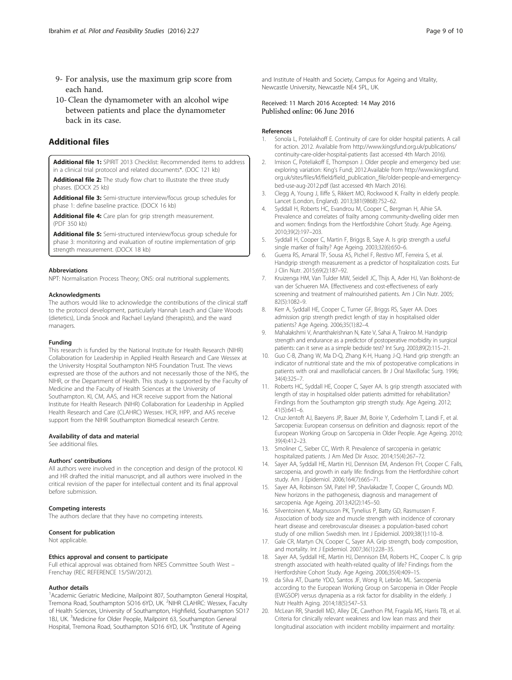- <span id="page-9-0"></span>9- For analysis, use the maximum grip score from each hand.
- 10-Clean the dynamometer with an alcohol wipe between patients and place the dynamometer back in its case.

## Additional files

[Additional file 1:](dx.doi.org/10.1186/s40814-016-0067-x) SPIRIT 2013 Checklist: Recommended items to address in a clinical trial protocol and related documents\*. (DOC 121 kb)

[Additional file 2:](dx.doi.org/10.1186/s40814-016-0067-x) The study flow chart to illustrate the three study phases. (DOCX 25 kb)

[Additional file 3:](dx.doi.org/10.1186/s40814-016-0067-x) Semi-structure interview/focus group schedules for phase 1: define baseline practice. (DOCX 16 kb)

[Additional file 4:](dx.doi.org/10.1186/s40814-016-0067-x) Care plan for grip strength measurement. (PDF 350 kb)

[Additional file 5:](dx.doi.org/10.1186/s40814-016-0067-x) Semi-structured interview/focus group schedule for phase 3: monitoring and evaluation of routine implementation of grip strength measurement. (DOCX 18 kb)

#### Abbreviations

NPT: Normalisation Process Theory; ONS: oral nutritional supplements.

#### Acknowledgments

The authors would like to acknowledge the contributions of the clinical staff to the protocol development, particularly Hannah Leach and Claire Woods (dietetics), Linda Snook and Rachael Leyland (therapists), and the ward managers.

#### Funding

This research is funded by the National Institute for Health Research (NIHR) Collaboration for Leadership in Applied Health Research and Care Wessex at the University Hospital Southampton NHS Foundation Trust. The views expressed are those of the authors and not necessarily those of the NHS, the NIHR, or the Department of Health. This study is supported by the Faculty of Medicine and the Faculty of Health Sciences at the University of Southampton. KI, CM, AAS, and HCR receive support from the National Institute for Health Research (NIHR) Collaboration for Leadership in Applied Health Research and Care (CLAHRC) Wessex. HCR, HPP, and AAS receive support from the NIHR Southampton Biomedical research Centre.

#### Availability of data and material

See additional files.

#### Authors' contributions

All authors were involved in the conception and design of the protocol. KI and HR drafted the initial manuscript, and all authors were involved in the critical revision of the paper for intellectual content and its final approval before submission.

#### Competing interests

The authors declare that they have no competing interests.

#### Consent for publication

Not applicable.

#### Ethics approval and consent to participate

Full ethical approval was obtained from NRES Committee South West – Frenchay (REC REFERENCE 15/SW/2012).

#### Author details

<sup>1</sup> Academic Geriatric Medicine, Mailpoint 807, Southampton General Hospital, Tremona Road, Southampton SO16 6YD, UK. <sup>2</sup>NIHR CLAHRC: Wessex, Faculty of Health Sciences, University of Southampton, Highfield, Southampton SO17 1BJ, UK.<sup>3</sup>Medicine for Older People, Mailpoint 63, Southampton General Hospital, Tremona Road, Southampton SO16 6YD, UK. <sup>4</sup>Institute of Ageing

and Institute of Health and Society, Campus for Ageing and Vitality, Newcastle University, Newcastle NE4 5PL, UK.

#### Received: 11 March 2016 Accepted: 14 May 2016 Published online: 06 June 2016

#### References

- 1. Sonola L, Poteliakhoff E. Continuity of care for older hospital patients. A call for action. 2012. Available from [http://www.kingsfund.org.uk/publications/](http://www.kingsfund.org.uk/publications/continuity-care-older-hospital-patients) [continuity-care-older-hospital-patients](http://www.kingsfund.org.uk/publications/continuity-care-older-hospital-patients) (last accessed 4th March 2016).
- 2. Imison C, Poteliakoff E, Thompson J. Older people and emergency bed use: exploring variation: King's Fund; 2012.Available from [http://www.kingsfund.](http://www.kingsfund.org.uk/sites/files/kf/field/field_publication_file/older-people-and-emergency-bed-use-aug-2012.pdf) [org.uk/sites/files/kf/field/field\\_publication\\_file/older-people-and-emergency](http://www.kingsfund.org.uk/sites/files/kf/field/field_publication_file/older-people-and-emergency-bed-use-aug-2012.pdf)[bed-use-aug-2012.pdf](http://www.kingsfund.org.uk/sites/files/kf/field/field_publication_file/older-people-and-emergency-bed-use-aug-2012.pdf) (last accessed 4th March 2016).
- 3. Clegg A, Young J, Iliffe S, Rikkert MO, Rockwood K. Frailty in elderly people. Lancet (London, England). 2013;381(9868):752–62.
- 4. Syddall H, Roberts HC, Evandrou M, Cooper C, Bergman H, Aihie SA. Prevalence and correlates of frailty among community-dwelling older men and women: findings from the Hertfordshire Cohort Study. Age Ageing. 2010;39(2):197–203.
- 5. Syddall H, Cooper C, Martin F, Briggs B, Saye A. Is grip strength a useful single marker of frailty? Age Ageing. 2003;32(6):650–6.
- 6. Guerra RS, Amaral TF, Sousa AS, Pichel F, Restivo MT, Ferreira S, et al. Handgrip strength measurement as a predictor of hospitalization costs. Eur J Clin Nutr. 2015;69(2):187–92.
- 7. Kruizenga HM, Van Tulder MW, Seidell JC, Thijs A, Ader HJ, Van Bokhorst-de van der Schueren MA. Effectiveness and cost-effectiveness of early screening and treatment of malnourished patients. Am J Clin Nutr. 2005; 82(5):1082–9.
- 8. Kerr A, Syddall HE, Cooper C, Turner GF, Briggs RS, Sayer AA. Does admission grip strength predict length of stay in hospitalised older patients? Age Ageing. 2006;35(1):82–4.
- 9. Mahalakshmi V, Ananthakrishnan N, Kate V, Sahai A, Trakroo M. Handgrip strength and endurance as a predictor of postoperative morbidity in surgical patients: can it serve as a simple bedside test? Int Surg. 2003;89(2):115–21.
- 10. Guo C-B, Zhang W, Ma D-Q, Zhang K-H, Huang J-Q. Hand grip strength: an indicator of nutritional state and the mix of postoperative complications in patients with oral and maxillofacial cancers. Br J Oral Maxillofac Surg. 1996; 34(4):325–7.
- 11. Roberts HC, Syddall HE, Cooper C, Sayer AA. Is grip strength associated with length of stay in hospitalised older patients admitted for rehabilitation? Findings from the Southampton grip strength study. Age Ageing. 2012; 41(5):641–6.
- 12. Cruz-Jentoft AJ, Baeyens JP, Bauer JM, Boirie Y, Cederholm T, Landi F, et al. Sarcopenia: European consensus on definition and diagnosis: report of the European Working Group on Sarcopenia in Older People. Age Ageing. 2010; 39(4):412–23.
- 13. Smoliner C, Sieber CC, Wirth R. Prevalence of sarcopenia in geriatric hospitalized patients. J Am Med Dir Assoc. 2014;15(4):267–72.
- 14. Sayer AA, Syddall HE, Martin HJ, Dennison EM, Anderson FH, Cooper C. Falls, sarcopenia, and growth in early life: findings from the Hertfordshire cohort study. Am J Epidemiol. 2006;164(7):665–71.
- 15. Sayer AA, Robinson SM, Patel HP, Shavlakadze T, Cooper C, Grounds MD. New horizons in the pathogenesis, diagnosis and management of sarcopenia. Age Ageing. 2013;42(2):145–50.
- 16. Silventoinen K, Magnusson PK, Tynelius P, Batty GD, Rasmussen F. Association of body size and muscle strength with incidence of coronary heart disease and cerebrovascular diseases: a population-based cohort study of one million Swedish men. Int J Epidemiol. 2009;38(1):110–8.
- 17. Gale CR, Martyn CN, Cooper C, Sayer AA. Grip strength, body composition, and mortality. Int J Epidemiol. 2007;36(1):228–35.
- 18. Sayer AA, Syddall HE, Martin HJ, Dennison EM, Roberts HC, Cooper C. Is grip strength associated with health-related quality of life? Findings from the Hertfordshire Cohort Study. Age Ageing. 2006;35(4):409–15.
- 19. da Silva AT, Duarte YDO, Santos JF, Wong R, Lebrão ML. Sarcopenia according to the European Working Group on Sarcopenia in Older People (EWGSOP) versus dynapenia as a risk factor for disability in the elderly. J Nutr Health Aging. 2014;18(5):547–53.
- 20. McLean RR, Shardell MD, Alley DE, Cawthon PM, Fragala MS, Harris TB, et al. Criteria for clinically relevant weakness and low lean mass and their longitudinal association with incident mobility impairment and mortality: